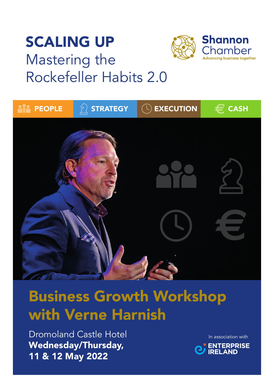# SCALING UP Mastering the Rockefeller Habits 2.0



# Business Growth Workshop with Verne Harnish

**Dromoland Castle Hotel** Wednesday/Thursday, 11 & 12 May 2022

Wednesday/Thursday,

In association with

**Shannon** 

Chamber Advancing business together

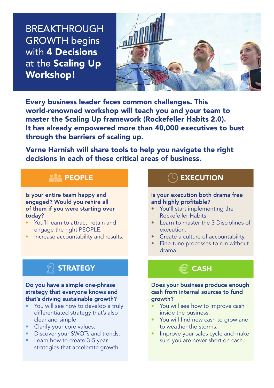BREAKTHROUGH **GROWTH begins** with 4 Decisions at the Scaling Up Workshop!



Every business leader faces common challenges. This world-renowned workshop will teach you and your team to master the Scaling Up framework (Rockefeller Habits 2.0). It has already empowered more than 40,000 executives to bust through the barriers of scaling up.

Verne Harnish will share tools to help you navigate the right decisions in each of these critical areas of business.

# **PEOPLE**

Is your entire team happy and engaged? Would you rehire all of them if you were starting over today?

- You'll learn to attract, retain and engage the right PEOPLE.
- Increase accountability and results.

# **STRATEGY**

#### Do you have a simple one-phrase strategy that everyone knows and that's driving sustainable growth?

- You will see how to develop a truly differentiated strategy that's also clear and simple.
- Clarify your core values.
- Discover your SWOTs and trends.
- Learn how to create 3-5 year strategies that accelerate growth.

# **EXECUTION**

#### Is your execution both drama free and highly profitable?

- You'll start implementing the Rockefeller Habits.
- Learn to master the 3 Disciplines of execution.
- Create a culture of accountability.
- Fine-tune processes to run without drama.

# **a** CASH

Does your business produce enough cash from internal sources to fund growth?

- You will see how to improve cash inside the business.
- You will find new cash to grow and to weather the storms.
- Improve your sales cycle and make sure you are never short on cash.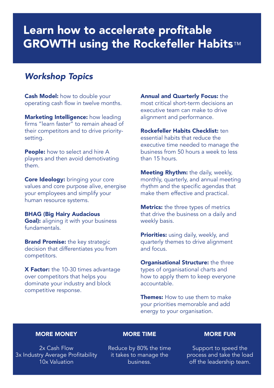# Learn how to accelerate profitable **GROWTH using the Rockefeller Habits™**

### *Workshop Topics*

Cash Model: how to double your operating cash flow in twelve months.

Marketing Intelligence: how leading firms "learn faster" to remain ahead of their competitors and to drive prioritysetting.

People: how to select and hire A players and then avoid demotivating them.

Core Ideology: bringing your core values and core purpose alive, energise your employees and simplify your human resource systems.

BHAG (Big Hairy Audacious Goal): aligning it with your business fundamentals.

**Brand Promise:** the key strategic decision that differentiates you from competitors.

**X Factor:** the 10-30 times advantage over competitors that helps you dominate your industry and block competitive response.

Annual and Quarterly Focus: the most critical short-term decisions an executive team can make to drive alignment and performance.

Rockefeller Habits Checklist: ten essential habits that reduce the executive time needed to manage the business from 50 hours a week to less than 15 hours.

**Meeting Rhythm:** the daily, weekly, monthly, quarterly, and annual meeting rhythm and the specific agendas that make them effective and practical.

**Metrics:** the three types of metrics that drive the business on a daily and weekly basis.

Priorities: using daily, weekly, and quarterly themes to drive alignment and focus.

**Organisational Structure:** the three types of organisational charts and how to apply them to keep everyone accountable.

Themes: How to use them to make your priorities memorable and add energy to your organisation.

#### MORE MONEY

2x Cash Flow 3x Industry Average Profitability 10x Valuation

MORE TIME

Reduce by 80% the time it takes to manage the business.

#### MORE FUN

Support to speed the process and take the load off the leadership team.